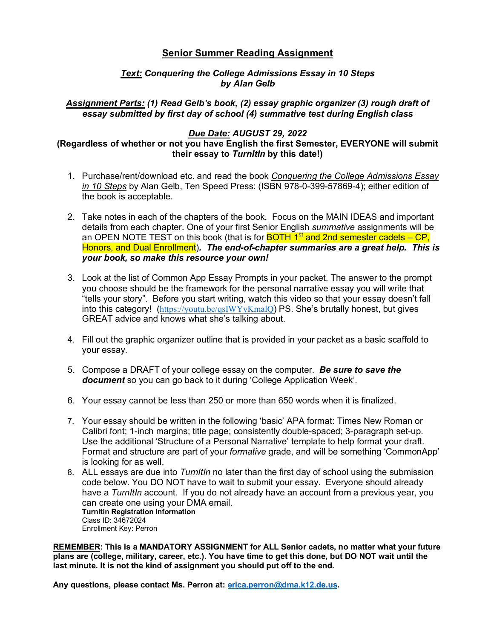# **Senior Summer Reading Assignment**

## *Text: Conquering the College Admissions Essay in 10 Steps by Alan Gelb*

## *Assignment Parts: (1) Read Gelb's book, (2) essay graphic organizer (3) rough draft of essay submitted by first day of school (4) summative test during English class*

## *Due Date: AUGUST 29, 2022*

## **(Regardless of whether or not you have English the first Semester, EVERYONE will submit their essay to** *TurnItIn* **by this date!)**

- 1. Purchase/rent/download etc. and read the book *Conquering the College Admissions Essay in 10 Steps* by Alan Gelb, Ten Speed Press: (ISBN 978-0-399-57869-4); either edition of the book is acceptable.
- 2. Take notes in each of the chapters of the book. Focus on the MAIN IDEAS and important details from each chapter. One of your first Senior English *summative* assignments will be an OPEN NOTE TEST on this book (that is for **BOTH 1<sup>st</sup> and 2nd semester cadets – CP,** Honors, and Dual Enrollment)*. The end-of-chapter summaries are a great help. This is your book, so make this resource your own!*
- 3. Look at the list of Common App Essay Prompts in your packet. The answer to the prompt you choose should be the framework for the personal narrative essay you will write that "tells your story". Before you start writing, watch this video so that your essay doesn't fall into this category! (https://youtu.be/qsIWYyKmalQ) PS. She's brutally honest, but gives GREAT advice and knows what she's talking about.
- 4. Fill out the graphic organizer outline that is provided in your packet as a basic scaffold to your essay.
- 5. Compose a DRAFT of your college essay on the computer. *Be sure to save the document* so you can go back to it during 'College Application Week'.
- 6. Your essay cannot be less than 250 or more than 650 words when it is finalized.
- 7. Your essay should be written in the following 'basic' APA format: Times New Roman or Calibri font; 1-inch margins; title page; consistently double-spaced; 3-paragraph set-up. Use the additional 'Structure of a Personal Narrative' template to help format your draft. Format and structure are part of your *formative* grade, and will be something 'CommonApp' is looking for as well.
- 8. ALL essays are due into *TurnItIn* no later than the first day of school using the submission code below. You DO NOT have to wait to submit your essay. Everyone should already have a *TurnItIn* account. If you do not already have an account from a previous year, you can create one using your DMA email. **TurnItin Registration Information** Class ID: 34672024 Enrollment Key: Perron

**REMEMBER: This is a MANDATORY ASSIGNMENT for ALL Senior cadets, no matter what your future plans are (college, military, career, etc.). You have time to get this done, but DO NOT wait until the last minute. It is not the kind of assignment you should put off to the end.**

**Any questions, please contact Ms. Perron at: erica.perron@dma.k12.de.us.**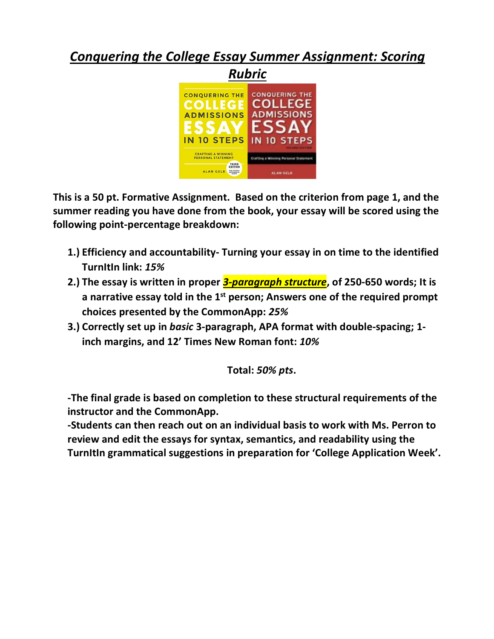# *Conquering the College Essay Summer Assignment: Scoring*



**This is a 50 pt. Formative Assignment. Based on the criterion from page 1, and the summer reading you have done from the book, your essay will be scored using the following point-percentage breakdown:**

- **1.) Efficiency and accountability- Turning your essay in on time to the identified TurnItIn link:** *15%*
- **2.) The essay is written in proper** *3-paragraph structure***, of 250-650 words; It is a narrative essay told in the 1st person; Answers one of the required prompt choices presented by the CommonApp:** *25%*
- **3.) Correctly set up in** *basic* **3-paragraph, APA format with double-spacing; 1 inch margins, and 12' Times New Roman font:** *10%*

**Total:** *50% pts***.**

**-The final grade is based on completion to these structural requirements of the instructor and the CommonApp.**

**-Students can then reach out on an individual basis to work with Ms. Perron to review and edit the essays for syntax, semantics, and readability using the TurnItIn grammatical suggestions in preparation for 'College Application Week'.**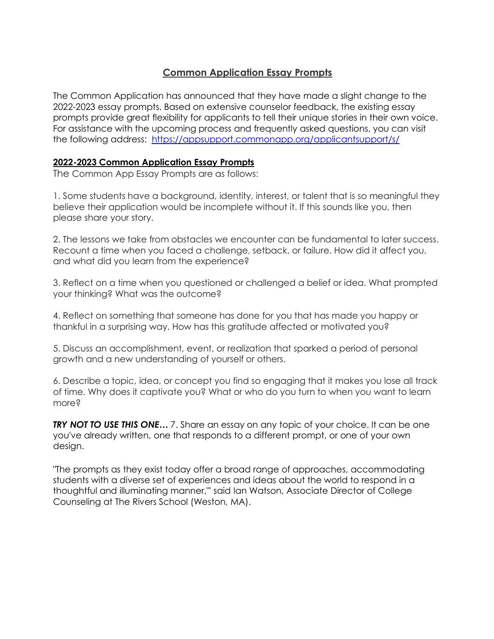# **Common Application Essay Prompts**

The Common Application has announced that they have made a slight change to the 2022-2023 essay prompts. Based on extensive counselor feedback, the existing essay prompts provide great flexibility for applicants to tell their unique stories in their own voice. For assistance with the upcoming process and frequently asked questions, you can visit the following address: https://appsupport.commonapp.org/applicantsupport/s/

# **2022-2023 Common Application Essay Prompts**

The Common App Essay Prompts are as follows:

1. Some students have a background, identity, interest, or talent that is so meaningful they believe their application would be incomplete without it. If this sounds like you, then please share your story.

2. The lessons we take from obstacles we encounter can be fundamental to later success. Recount a time when you faced a challenge, setback, or failure. How did it affect you, and what did you learn from the experience?

3. Reflect on a time when you questioned or challenged a belief or idea. What prompted your thinking? What was the outcome?

4. Reflect on something that someone has done for you that has made you happy or thankful in a surprising way. How has this gratitude affected or motivated you?

5. Discuss an accomplishment, event, or realization that sparked a period of personal growth and a new understanding of yourself or others.

6. Describe a topic, idea, or concept you find so engaging that it makes you lose all track of time. Why does it captivate you? What or who do you turn to when you want to learn more?

**TRY NOT TO USE THIS ONE...** 7. Share an essay on any topic of your choice. It can be one you've already written, one that responds to a different prompt, or one of your own design.

"The prompts as they exist today offer a broad range of approaches, accommodating students with a diverse set of experiences and ideas about the world to respond in a thoughtful and illuminating manner,"' said Ian Watson, Associate Director of College Counseling at The Rivers School (Weston, MA).